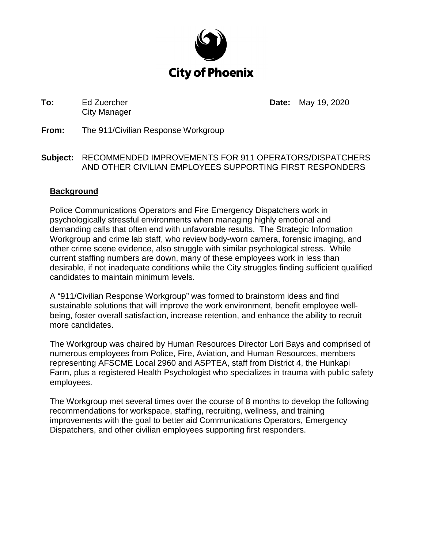

**To:** Ed Zuercher City Manager **Date:** May 19, 2020

**From:** The 911/Civilian Response Workgroup

**Subject:** RECOMMENDED IMPROVEMENTS FOR 911 OPERATORS/DISPATCHERS AND OTHER CIVILIAN EMPLOYEES SUPPORTING FIRST RESPONDERS

## **Background**

Police Communications Operators and Fire Emergency Dispatchers work in psychologically stressful environments when managing highly emotional and demanding calls that often end with unfavorable results. The Strategic Information Workgroup and crime lab staff, who review body-worn camera, forensic imaging, and other crime scene evidence, also struggle with similar psychological stress. While current staffing numbers are down, many of these employees work in less than desirable, if not inadequate conditions while the City struggles finding sufficient qualified candidates to maintain minimum levels.

A "911/Civilian Response Workgroup" was formed to brainstorm ideas and find sustainable solutions that will improve the work environment, benefit employee wellbeing, foster overall satisfaction, increase retention, and enhance the ability to recruit more candidates.

The Workgroup was chaired by Human Resources Director Lori Bays and comprised of numerous employees from Police, Fire, Aviation, and Human Resources, members representing AFSCME Local 2960 and ASPTEA, staff from District 4, the Hunkapi Farm, plus a registered Health Psychologist who specializes in trauma with public safety employees.

The Workgroup met several times over the course of 8 months to develop the following recommendations for workspace, staffing, recruiting, wellness, and training improvements with the goal to better aid Communications Operators, Emergency Dispatchers, and other civilian employees supporting first responders.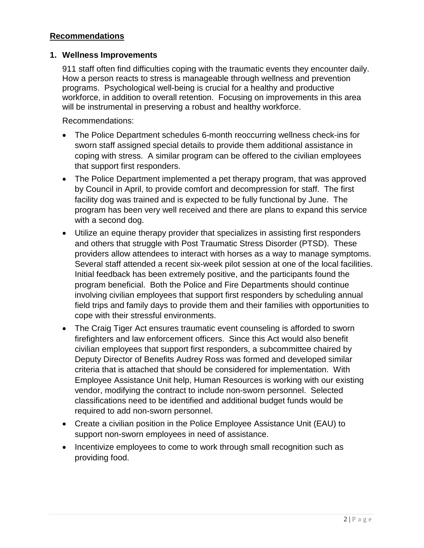## **Recommendations**

## **1. Wellness Improvements**

911 staff often find difficulties coping with the traumatic events they encounter daily. How a person reacts to stress is manageable through wellness and prevention programs. Psychological well-being is crucial for a healthy and productive workforce, in addition to overall retention. Focusing on improvements in this area will be instrumental in preserving a robust and healthy workforce.

Recommendations:

- The Police Department schedules 6-month reoccurring wellness check-ins for sworn staff assigned special details to provide them additional assistance in coping with stress. A similar program can be offered to the civilian employees that support first responders.
- The Police Department implemented a pet therapy program, that was approved by Council in April, to provide comfort and decompression for staff. The first facility dog was trained and is expected to be fully functional by June. The program has been very well received and there are plans to expand this service with a second dog.
- Utilize an equine therapy provider that specializes in assisting first responders and others that struggle with Post Traumatic Stress Disorder (PTSD). These providers allow attendees to interact with horses as a way to manage symptoms. Several staff attended a recent six-week pilot session at one of the local facilities. Initial feedback has been extremely positive, and the participants found the program beneficial. Both the Police and Fire Departments should continue involving civilian employees that support first responders by scheduling annual field trips and family days to provide them and their families with opportunities to cope with their stressful environments.
- The Craig Tiger Act ensures traumatic event counseling is afforded to sworn firefighters and law enforcement officers. Since this Act would also benefit civilian employees that support first responders, a subcommittee chaired by Deputy Director of Benefits Audrey Ross was formed and developed similar criteria that is attached that should be considered for implementation. With Employee Assistance Unit help, Human Resources is working with our existing vendor, modifying the contract to include non-sworn personnel. Selected classifications need to be identified and additional budget funds would be required to add non-sworn personnel.
- Create a civilian position in the Police Employee Assistance Unit (EAU) to support non-sworn employees in need of assistance.
- Incentivize employees to come to work through small recognition such as providing food.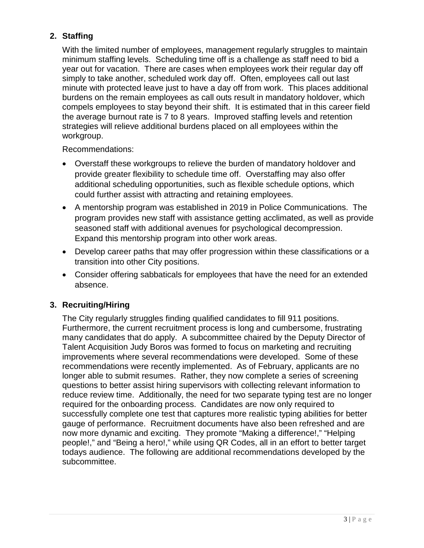# **2. Staffing**

With the limited number of employees, management regularly struggles to maintain minimum staffing levels. Scheduling time off is a challenge as staff need to bid a year out for vacation. There are cases when employees work their regular day off simply to take another, scheduled work day off. Often, employees call out last minute with protected leave just to have a day off from work. This places additional burdens on the remain employees as call outs result in mandatory holdover, which compels employees to stay beyond their shift. It is estimated that in this career field the average burnout rate is 7 to 8 years. Improved staffing levels and retention strategies will relieve additional burdens placed on all employees within the workgroup.

## Recommendations:

- Overstaff these workgroups to relieve the burden of mandatory holdover and provide greater flexibility to schedule time off. Overstaffing may also offer additional scheduling opportunities, such as flexible schedule options, which could further assist with attracting and retaining employees.
- A mentorship program was established in 2019 in Police Communications. The program provides new staff with assistance getting acclimated, as well as provide seasoned staff with additional avenues for psychological decompression. Expand this mentorship program into other work areas.
- Develop career paths that may offer progression within these classifications or a transition into other City positions.
- Consider offering sabbaticals for employees that have the need for an extended absence.

# **3. Recruiting/Hiring**

The City regularly struggles finding qualified candidates to fill 911 positions. Furthermore, the current recruitment process is long and cumbersome, frustrating many candidates that do apply. A subcommittee chaired by the Deputy Director of Talent Acquisition Judy Boros was formed to focus on marketing and recruiting improvements where several recommendations were developed. Some of these recommendations were recently implemented. As of February, applicants are no longer able to submit resumes. Rather, they now complete a series of screening questions to better assist hiring supervisors with collecting relevant information to reduce review time. Additionally, the need for two separate typing test are no longer required for the onboarding process. Candidates are now only required to successfully complete one test that captures more realistic typing abilities for better gauge of performance. Recruitment documents have also been refreshed and are now more dynamic and exciting. They promote "Making a difference!," "Helping people!," and "Being a hero!," while using QR Codes, all in an effort to better target todays audience. The following are additional recommendations developed by the subcommittee.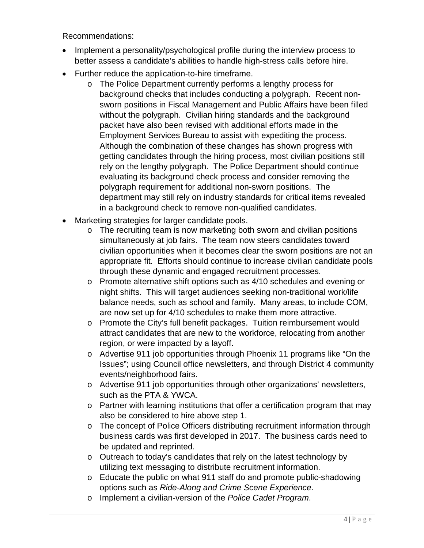Recommendations:

- Implement a personality/psychological profile during the interview process to better assess a candidate's abilities to handle high-stress calls before hire.
- Further reduce the application-to-hire timeframe.
	- o The Police Department currently performs a lengthy process for background checks that includes conducting a polygraph. Recent nonsworn positions in Fiscal Management and Public Affairs have been filled without the polygraph. Civilian hiring standards and the background packet have also been revised with additional efforts made in the Employment Services Bureau to assist with expediting the process. Although the combination of these changes has shown progress with getting candidates through the hiring process, most civilian positions still rely on the lengthy polygraph. The Police Department should continue evaluating its background check process and consider removing the polygraph requirement for additional non-sworn positions. The department may still rely on industry standards for critical items revealed in a background check to remove non-qualified candidates.
- Marketing strategies for larger candidate pools.
	- o The recruiting team is now marketing both sworn and civilian positions simultaneously at job fairs. The team now steers candidates toward civilian opportunities when it becomes clear the sworn positions are not an appropriate fit. Efforts should continue to increase civilian candidate pools through these dynamic and engaged recruitment processes.
	- o Promote alternative shift options such as 4/10 schedules and evening or night shifts. This will target audiences seeking non-traditional work/life balance needs, such as school and family. Many areas, to include COM, are now set up for 4/10 schedules to make them more attractive.
	- o Promote the City's full benefit packages. Tuition reimbursement would attract candidates that are new to the workforce, relocating from another region, or were impacted by a layoff.
	- o Advertise 911 job opportunities through Phoenix 11 programs like "On the Issues"; using Council office newsletters, and through District 4 community events/neighborhood fairs.
	- o Advertise 911 job opportunities through other organizations' newsletters, such as the PTA & YWCA.
	- o Partner with learning institutions that offer a certification program that may also be considered to hire above step 1.
	- o The concept of Police Officers distributing recruitment information through business cards was first developed in 2017. The business cards need to be updated and reprinted.
	- o Outreach to today's candidates that rely on the latest technology by utilizing text messaging to distribute recruitment information.
	- o Educate the public on what 911 staff do and promote public-shadowing options such as *Ride-Along and Crime Scene Experience*.
	- o Implement a civilian-version of the *Police Cadet Program*.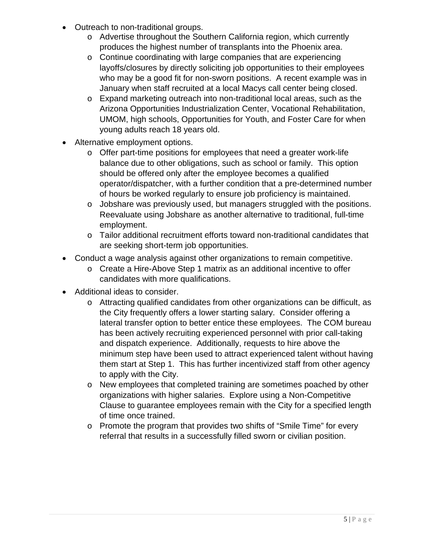- Outreach to non-traditional groups.
	- o Advertise throughout the Southern California region, which currently produces the highest number of transplants into the Phoenix area.
	- o Continue coordinating with large companies that are experiencing layoffs/closures by directly soliciting job opportunities to their employees who may be a good fit for non-sworn positions. A recent example was in January when staff recruited at a local Macys call center being closed.
	- o Expand marketing outreach into non-traditional local areas, such as the Arizona Opportunities Industrialization Center, Vocational Rehabilitation, UMOM, high schools, Opportunities for Youth, and Foster Care for when young adults reach 18 years old.
- Alternative employment options.
	- o Offer part-time positions for employees that need a greater work-life balance due to other obligations, such as school or family. This option should be offered only after the employee becomes a qualified operator/dispatcher, with a further condition that a pre-determined number of hours be worked regularly to ensure job proficiency is maintained.
	- o Jobshare was previously used, but managers struggled with the positions. Reevaluate using Jobshare as another alternative to traditional, full-time employment.
	- o Tailor additional recruitment efforts toward non-traditional candidates that are seeking short-term job opportunities.
- Conduct a wage analysis against other organizations to remain competitive.
	- o Create a Hire-Above Step 1 matrix as an additional incentive to offer candidates with more qualifications.
- Additional ideas to consider.
	- o Attracting qualified candidates from other organizations can be difficult, as the City frequently offers a lower starting salary. Consider offering a lateral transfer option to better entice these employees. The COM bureau has been actively recruiting experienced personnel with prior call-taking and dispatch experience. Additionally, requests to hire above the minimum step have been used to attract experienced talent without having them start at Step 1. This has further incentivized staff from other agency to apply with the City.
	- o New employees that completed training are sometimes poached by other organizations with higher salaries. Explore using a Non-Competitive Clause to guarantee employees remain with the City for a specified length of time once trained.
	- o Promote the program that provides two shifts of "Smile Time" for every referral that results in a successfully filled sworn or civilian position.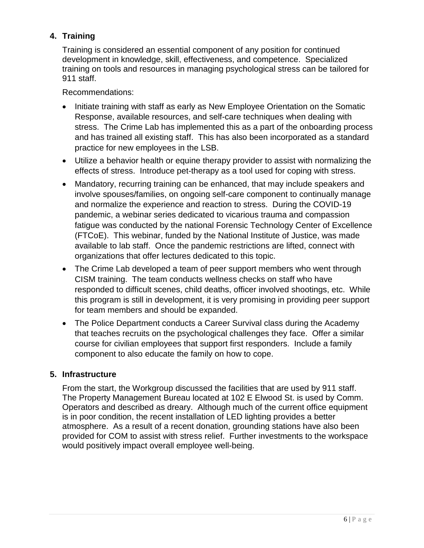# **4. Training**

Training is considered an essential component of any position for continued development in knowledge, skill, effectiveness, and competence. Specialized training on tools and resources in managing psychological stress can be tailored for 911 staff.

Recommendations:

- Initiate training with staff as early as New Employee Orientation on the Somatic Response, available resources, and self-care techniques when dealing with stress. The Crime Lab has implemented this as a part of the onboarding process and has trained all existing staff. This has also been incorporated as a standard practice for new employees in the LSB.
- Utilize a behavior health or equine therapy provider to assist with normalizing the effects of stress. Introduce pet-therapy as a tool used for coping with stress.
- Mandatory, recurring training can be enhanced, that may include speakers and involve spouses/families, on ongoing self-care component to continually manage and normalize the experience and reaction to stress. During the COVID-19 pandemic, a webinar series dedicated to vicarious trauma and compassion fatigue was conducted by the national Forensic Technology Center of Excellence (FTCoE). This webinar, funded by the National Institute of Justice, was made available to lab staff. Once the pandemic restrictions are lifted, connect with organizations that offer lectures dedicated to this topic.
- The Crime Lab developed a team of peer support members who went through CISM training. The team conducts wellness checks on staff who have responded to difficult scenes, child deaths, officer involved shootings, etc. While this program is still in development, it is very promising in providing peer support for team members and should be expanded.
- The Police Department conducts a Career Survival class during the Academy that teaches recruits on the psychological challenges they face. Offer a similar course for civilian employees that support first responders. Include a family component to also educate the family on how to cope.

# **5. Infrastructure**

From the start, the Workgroup discussed the facilities that are used by 911 staff. The Property Management Bureau located at 102 E Elwood St. is used by Comm. Operators and described as dreary. Although much of the current office equipment is in poor condition, the recent installation of LED lighting provides a better atmosphere. As a result of a recent donation, grounding stations have also been provided for COM to assist with stress relief. Further investments to the workspace would positively impact overall employee well-being.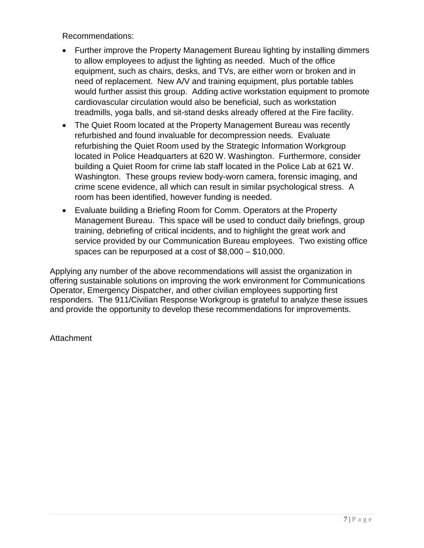Recommendations:

- Further improve the Property Management Bureau lighting by installing dimmers to allow employees to adjust the lighting as needed. Much of the office equipment, such as chairs, desks, and TVs, are either worn or broken and in need of replacement. New A/V and training equipment, plus portable tables would further assist this group. Adding active workstation equipment to promote cardiovascular circulation would also be beneficial, such as workstation treadmills, yoga balls, and sit-stand desks already offered at the Fire facility.
- The Quiet Room located at the Property Management Bureau was recently refurbished and found invaluable for decompression needs. Evaluate refurbishing the Quiet Room used by the Strategic Information Workgroup located in Police Headquarters at 620 W. Washington. Furthermore, consider building a Quiet Room for crime lab staff located in the Police Lab at 621 W. Washington. These groups review body-worn camera, forensic imaging, and crime scene evidence, all which can result in similar psychological stress. A room has been identified, however funding is needed.
- Evaluate building a Briefing Room for Comm. Operators at the Property Management Bureau. This space will be used to conduct daily briefings, group training, debriefing of critical incidents, and to highlight the great work and service provided by our Communication Bureau employees. Two existing office spaces can be repurposed at a cost of \$8,000 – \$10,000.

Applying any number of the above recommendations will assist the organization in offering sustainable solutions on improving the work environment for Communications Operator, Emergency Dispatcher, and other civilian employees supporting first responders. The 911/Civilian Response Workgroup is grateful to analyze these issues and provide the opportunity to develop these recommendations for improvements.

**Attachment**